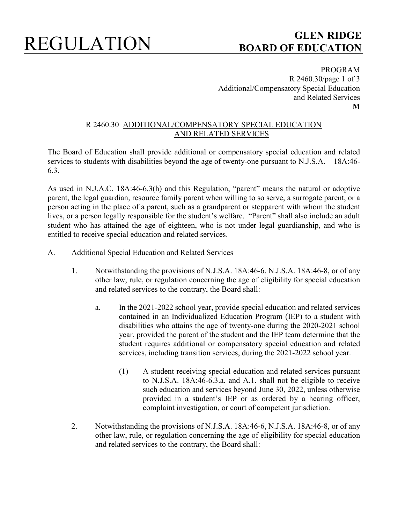# REGULATION **GLEN RIDGE BOARD OF EDUCATION**

PROGRAM R 2460.30/page 1 of 3 Additional/Compensatory Special Education and Related Services **M**

### R 2460.30 ADDITIONAL/COMPENSATORY SPECIAL EDUCATION AND RELATED SERVICES

The Board of Education shall provide additional or compensatory special education and related services to students with disabilities beyond the age of twenty-one pursuant to N.J.S.A. 18A:46-6.3.

As used in N.J.A.C. 18A:46-6.3(h) and this Regulation, "parent" means the natural or adoptive parent, the legal guardian, resource family parent when willing to so serve, a surrogate parent, or a person acting in the place of a parent, such as a grandparent or stepparent with whom the student lives, or a person legally responsible for the student's welfare. "Parent" shall also include an adult student who has attained the age of eighteen, who is not under legal guardianship, and who is entitled to receive special education and related services.

- A. Additional Special Education and Related Services
	- 1. Notwithstanding the provisions of N.J.S.A. 18A:46-6, N.J.S.A. 18A:46-8, or of any other law, rule, or regulation concerning the age of eligibility for special education and related services to the contrary, the Board shall:
		- a. In the 2021-2022 school year, provide special education and related services contained in an Individualized Education Program (IEP) to a student with disabilities who attains the age of twenty-one during the 2020-2021 school year, provided the parent of the student and the IEP team determine that the student requires additional or compensatory special education and related services, including transition services, during the 2021-2022 school year.
			- (1) A student receiving special education and related services pursuant to N.J.S.A. 18A:46-6.3.a. and A.1. shall not be eligible to receive such education and services beyond June 30, 2022, unless otherwise provided in a student's IEP or as ordered by a hearing officer, complaint investigation, or court of competent jurisdiction.
	- 2. Notwithstanding the provisions of N.J.S.A. 18A:46-6, N.J.S.A. 18A:46-8, or of any other law, rule, or regulation concerning the age of eligibility for special education and related services to the contrary, the Board shall: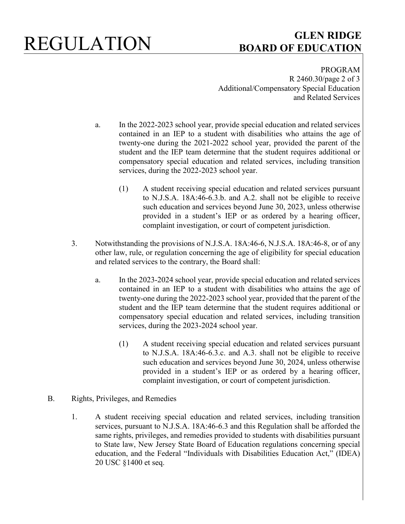# REGULATION **GLEN RIDGE BOARD OF EDUCATION**

PROGRAM R 2460.30/page 2 of 3 Additional/Compensatory Special Education and Related Services

- a. In the 2022-2023 school year, provide special education and related services contained in an IEP to a student with disabilities who attains the age of twenty-one during the 2021-2022 school year, provided the parent of the student and the IEP team determine that the student requires additional or compensatory special education and related services, including transition services, during the 2022-2023 school year.
	- (1) A student receiving special education and related services pursuant to N.J.S.A. 18A:46-6.3.b. and A.2. shall not be eligible to receive such education and services beyond June 30, 2023, unless otherwise provided in a student's IEP or as ordered by a hearing officer, complaint investigation, or court of competent jurisdiction.
- 3. Notwithstanding the provisions of N.J.S.A. 18A:46-6, N.J.S.A. 18A:46-8, or of any other law, rule, or regulation concerning the age of eligibility for special education and related services to the contrary, the Board shall:
	- a. In the 2023-2024 school year, provide special education and related services contained in an IEP to a student with disabilities who attains the age of twenty-one during the 2022-2023 school year, provided that the parent of the student and the IEP team determine that the student requires additional or compensatory special education and related services, including transition services, during the 2023-2024 school year.
		- (1) A student receiving special education and related services pursuant to N.J.S.A. 18A:46-6.3.c. and A.3. shall not be eligible to receive such education and services beyond June 30, 2024, unless otherwise provided in a student's IEP or as ordered by a hearing officer, complaint investigation, or court of competent jurisdiction.
- B. Rights, Privileges, and Remedies
	- 1. A student receiving special education and related services, including transition services, pursuant to N.J.S.A. 18A:46-6.3 and this Regulation shall be afforded the same rights, privileges, and remedies provided to students with disabilities pursuant to State law, New Jersey State Board of Education regulations concerning special education, and the Federal "Individuals with Disabilities Education Act," (IDEA) 20 USC §1400 et seq.